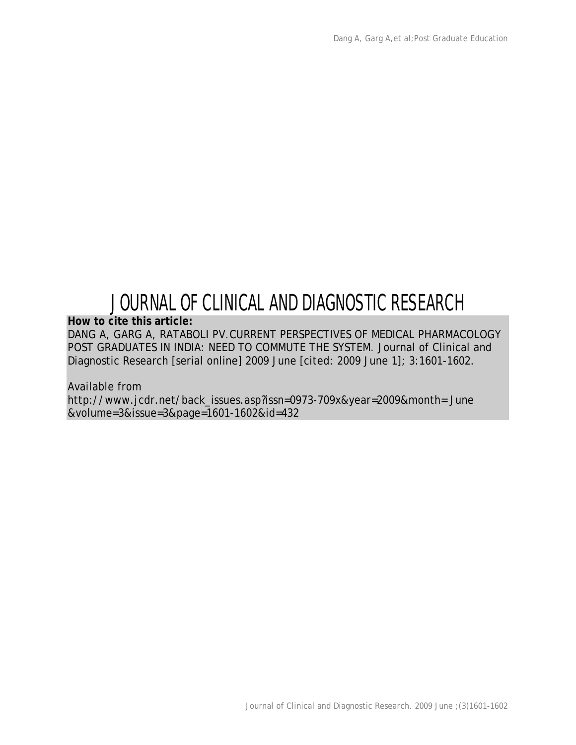## JOURNAL OF CLINICAL AND DIAGNOSTIC RESEARCH

**How to cite this article:**

DANG A, GARG A, RATABOLI PV.CURRENT PERSPECTIVES OF MEDICAL PHARMACOLOGY POST GRADUATES IN INDIA: NEED TO COMMUTE THE SYSTEM. Journal of Clinical and Diagnostic Research [serial online] 2009 June [cited: 2009 June 1]; 3:1601-1602.

Available from http://www.jcdr.net/back\_issues.asp?issn=0973-709x&year=2009&month= June &volume=3&issue=3&page=1601-1602&id=432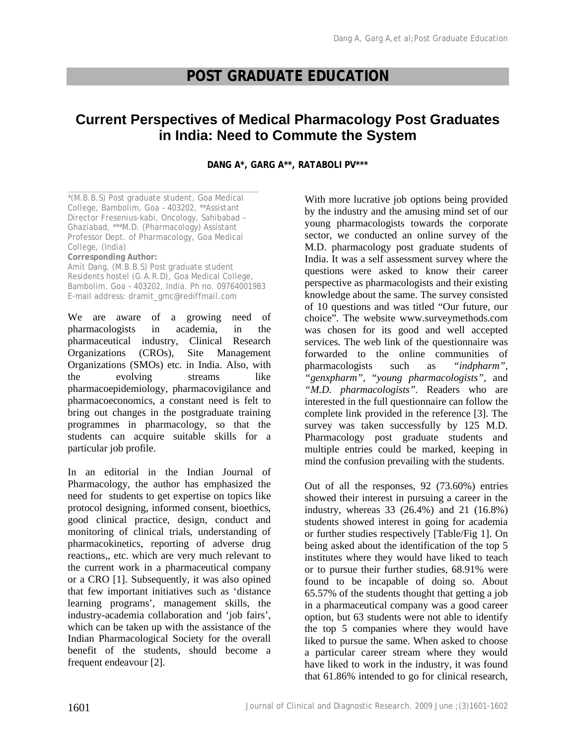## **POST GRADUATE EDUCATION**

## **Current Perspectives of Medical Pharmacology Post Graduates in India: Need to Commute the System**

**DANG A\*, GARG A\*\*, RATABOLI PV\*\*\***

\_\_\_\_\_\_\_\_\_\_\_\_\_\_\_\_\_\_\_\_\_\_\_\_\_\_\_\_\_\_\_\_\_\_\_\_\_\_\_\_\_\_\_\_\_ \*(M.B.B.S) Post graduate student, Goa Medical College, Bambolim, Goa – 403202, \*\*Assistant Director Fresenius-kabi, Oncology, Sahibabad – Ghaziabad, \*\*\*M.D. (Pharmacology) Assistant Professor Dept. of Pharmacology, Goa Medical College, (India) **Corresponding Author:** Amit Dang, (M.B.B.S) Post graduate student Residents hostel (G.A.R.D), Goa Medical College, Bambolim, Goa – 403202, India. Ph no. 09764001983 E-mail address: dramit\_gmc@rediffmail.com

We are aware of a growing need of pharmacologists in academia, in the pharmaceutical industry, Clinical Research Organizations (CROs), Site Management Organizations (SMOs) etc. in India. Also, with the evolving streams like pharmacoepidemiology, pharmacovigilance and pharmacoeconomics, a constant need is felt to bring out changes in the postgraduate training programmes in pharmacology, so that the students can acquire suitable skills for a particular job profile.

In an editorial in the Indian Journal of Pharmacology, the author has emphasized the need for students to get expertise on topics like protocol designing, informed consent, bioethics, good clinical practice, design, conduct and monitoring of clinical trials, understanding of pharmacokinetics, reporting of adverse drug reactions,, etc. which are very much relevant to the current work in a pharmaceutical company or a CRO [1]. Subsequently, it was also opined that few important initiatives such as 'distance learning programs', management skills, the industry-academia collaboration and 'job fairs', which can be taken up with the assistance of the Indian Pharmacological Society for the overall benefit of the students, should become a frequent endeavour [2].

With more lucrative job options being provided by the industry and the amusing mind set of our young pharmacologists towards the corporate sector, we conducted an online survey of the M.D. pharmacology post graduate students of India. It was a self assessment survey where the questions were asked to know their career perspective as pharmacologists and their existing knowledge about the same. The survey consisted of 10 questions and was titled "Our future, our choice". The website www.surveymethods.com was chosen for its good and well accepted services. The web link of the questionnaire was forwarded to the online communities of pharmacologists such as *"indpharm"*, *"genxpharm",* "*young pharmacologists",* and *"M.D. pharmacologists"*. Readers who are interested in the full questionnaire can follow the complete link provided in the reference [3]. The survey was taken successfully by 125 M.D. Pharmacology post graduate students and multiple entries could be marked, keeping in mind the confusion prevailing with the students.

Out of all the responses, 92 (73.60%) entries showed their interest in pursuing a career in the industry, whereas 33 (26.4%) and 21 (16.8%) students showed interest in going for academia or further studies respectively [Table/Fig 1]. On being asked about the identification of the top 5 institutes where they would have liked to teach or to pursue their further studies, 68.91% were found to be incapable of doing so. About 65.57% of the students thought that getting a job in a pharmaceutical company was a good career option, but 63 students were not able to identify the top 5 companies where they would have liked to pursue the same. When asked to choose a particular career stream where they would have liked to work in the industry, it was found that 61.86% intended to go for clinical research,